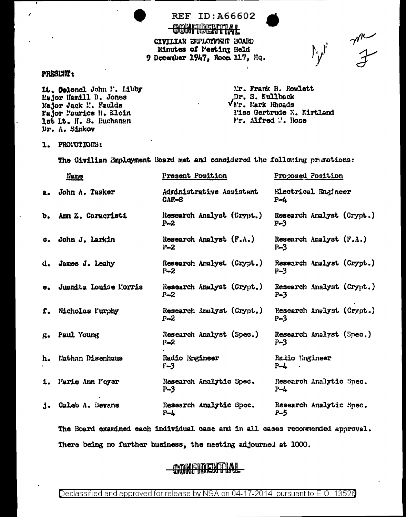**REF ID: A66602** 

CONFIDENTIAL CIVILIAN EUPLOYMENT BOARD Minutes of Peeting Held 9 December 1947, Room 117, Hq.

#### PRESLUIT:

It. Colonol John F. Libby Mujor Hamill D. Jones Major Jack M. Faulds Fajor Faurice H. Klein lst Lt. H. S. Buchanan Dr. A. Sinkov

Mr. Frank B. Rowlett Dr. S. Kullback  $V_{1T}$ . Mark Rhoads l'iss Gertrude E. Kirtland Mr. Alfred M. Rose

me<br>F

 $\Gamma_{\mathbf{y}}$ 

1. PRONOTIONS:

The Civilian Employment Board met and considered the following promotions:

|               | Name                  | <u>Prasent Position</u>              | <u>Proposed Position</u>             |
|---------------|-----------------------|--------------------------------------|--------------------------------------|
| $2 -$         | John A. Tasker        | Administrative Assistant<br>$CAF-8$  | Electrical Engineer<br>$P - L$       |
| b.            | Ann Z. Caracristi     | Research Analyst (Crypt.)<br>$P - 2$ | Rosearch Analyst (Crypt.)<br>$P-3$   |
| α.            | John J. Larkin        | Research Analyst (F.A.)<br>$P - 2$   | Research Analyst $(F, A, )$<br>$P-3$ |
| d.            | James J. Leahy        | Research Analyst (Crypt.)<br>$P - 2$ | Research Analyst (Crypt.)<br>$P-3$   |
|               | Juanita Louise Morris | Research Analyst (Crypt.)<br>$P-2$   | Research Analyst (Crypt.)<br>$P-3$   |
| f.            | Nicholas Nurphy       | Research Analyst (Crypt.)<br>$P - 2$ | Research Analyst (Crypt.)<br>$P - 3$ |
| $g_{\bullet}$ | <b>Paul Young</b>     | Research Analyst (Spec.)<br>$P-2$    | Research Analyst (Spec.)<br>$P-3$    |
| h.            | Nathan Disenhaus      | Radio Engineer<br>$F-3$              | Radio Engineer<br>$P-L$              |
| 1.            | Murie Ann Poyer       | Research Analytic Spec.<br>$P-3$     | Research Analytic Spec.<br>$P-L$     |
| $\Lambda$ .   | Calcb A. Bevans       | Research Analytic Spec.<br>P-4       | Research Analytic Spec.<br>P-5       |
|               |                       |                                      |                                      |

The Board examined each individual case and in all cases recommended approval. There being no further business, the meeting adjourned at 1000.

# **CONFIDENTIAL**

Declassified and approved for release by NSA on 04-17-2014 pursuant to E.O. 13526